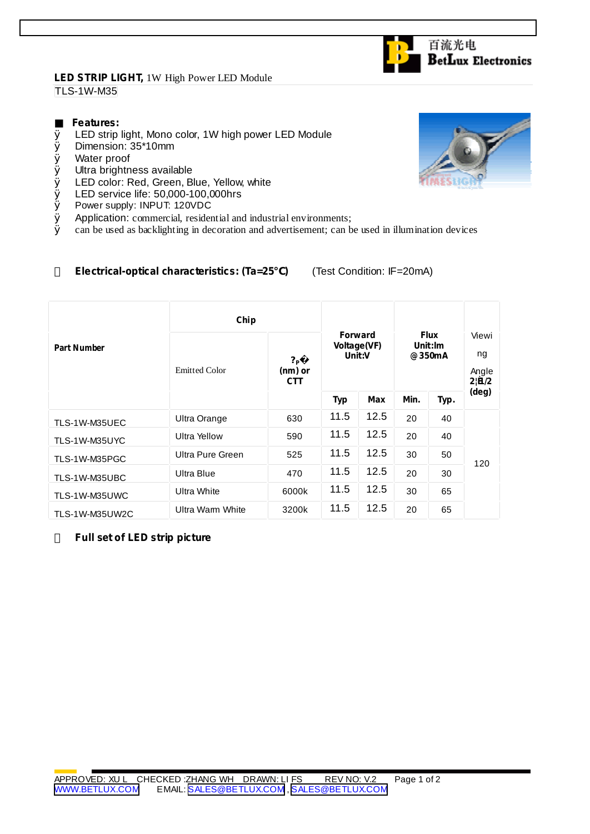## **LED STRIP LIGHT,** 1W High Power LED Module TLS-1W-M35

## **Features:**

- Ø LED strip light, Mono color, 1W high power LED Module
- Ø Dimension: 35\*10mm
- Ø Water proof
- Ø Ultra brightness available
- Ø LED color: Red, Green, Blue, Yellow, white
- Ø LED service life: 50,000-100,000hrs<br>Ø Power supply: INPUT: 120VDC
- Power supply: INPUT: 120VDC
- $\emptyset$  Application: commercial, residential and industrial environments;<br> $\emptyset$  can be used as backlighting in decoration and advertisement: can b
- Ø can be used as backlighting in decoration and advertisement; can be used in illumination devices

## **Electrical-optical characteristics: (Ta=25 )** (Test Condition: IF=20mA)

|                    | Chip                 |                                           |                                         |      |                                  |      |                               |
|--------------------|----------------------|-------------------------------------------|-----------------------------------------|------|----------------------------------|------|-------------------------------|
| <b>Part Number</b> | <b>Emitted Color</b> | $?_{\mathsf{P}}$<br>(nm) or<br><b>CTT</b> | <b>Forward</b><br>Voltage(VF)<br>Unit:V |      | <b>Flux</b><br>Unit:Im<br>@350mA |      | Viewi<br>ng<br>Angle<br>2!B/2 |
|                    |                      |                                           | Typ                                     | Max  | Min.                             | Typ. | (deg)                         |
| TLS-1W-M35UEC      | Ultra Orange         | 630                                       | 11.5                                    | 12.5 | 20                               | 40   | 120                           |
| TLS-1W-M35UYC      | <b>Ultra Yellow</b>  | 590                                       | 11.5                                    | 12.5 | 20                               | 40   |                               |
| TLS-1W-M35PGC      | Ultra Pure Green     | 525                                       | 11.5                                    | 12.5 | 30                               | 50   |                               |
| TLS-1W-M35UBC      | Ultra Blue           | 470                                       | 11.5                                    | 12.5 | 20                               | 30   |                               |
| TLS-1W-M35UWC      | Ultra White          | 6000k                                     | 11.5                                    | 12.5 | 30                               | 65   |                               |
| TLS-1W-M35UW2C     | Ultra Warm White     | 3200k                                     | 11.5                                    | 12.5 | 20                               | 65   |                               |

**Full set of LED strip picture**